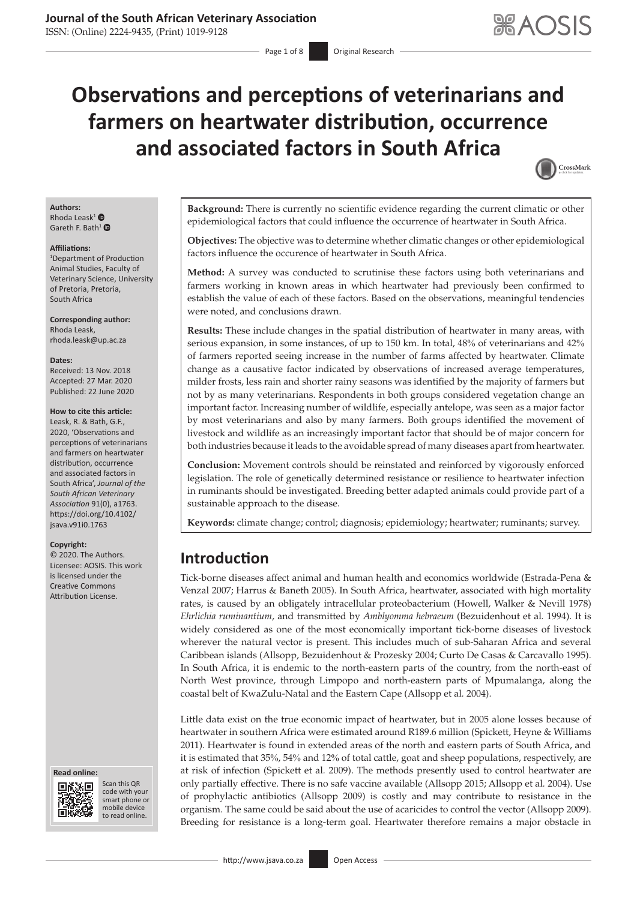### **Journal of the South African Veterinary Association**

ISSN: (Online) 2224-9435, (Print) 1019-9128

# **Observations and perceptions of veterinarians and farmers on heartwater distribution, occurrence and associated factors in South Africa**



### **Authors:**

Rhoda Leask<sup>[1](https://orcid.org/0000-0003-3373-0096)</sup>  $\bullet$ Gareth F. Bath<sup>[1](https://orcid.org/0000-0002-9496-2176)</sup> $\bullet$ 

#### **Affiliations:**

1 Department of Production Animal Studies, Faculty of Veterinary Science, University of Pretoria, Pretoria, South Africa

**Corresponding author:** Rhoda Leask, [rhoda.leask@up.ac.za](mailto:rhoda.leask@up.ac.za)

#### **Dates:**

Received: 13 Nov. 2018 Accepted: 27 Mar. 2020 Published: 22 June 2020

#### **How to cite this article:**

Leask, R. & Bath, G.F., 2020, 'Observations and perceptions of veterinarians and farmers on heartwater distribution, occurrence and associated factors in South Africa', *Journal of the South African Veterinary Association* 91(0), a1763. [https://doi.org/10.4102/](https://doi.org/10.4102/jsava.v91i0.1763) [jsava.v91i0.1763](https://doi.org/10.4102/jsava.v91i0.1763)

#### **Copyright:**

© 2020. The Authors. Licensee: AOSIS. This work is licensed under the Creative Commons Attribution License.

#### **Read online: Read online:**



Scan this QR code with your Scan this QR<br>code with your<br>smart phone or<br>mobile device mobile device to read online. to read online.

**Background:** There is currently no scientific evidence regarding the current climatic or other epidemiological factors that could influence the occurrence of heartwater in South Africa.

**Objectives:** The objective was to determine whether climatic changes or other epidemiological factors influence the occurence of heartwater in South Africa.

**Method:** A survey was conducted to scrutinise these factors using both veterinarians and farmers working in known areas in which heartwater had previously been confirmed to establish the value of each of these factors. Based on the observations, meaningful tendencies were noted, and conclusions drawn.

**Results:** These include changes in the spatial distribution of heartwater in many areas, with serious expansion, in some instances, of up to 150 km. In total, 48% of veterinarians and 42% of farmers reported seeing increase in the number of farms affected by heartwater. Climate change as a causative factor indicated by observations of increased average temperatures, milder frosts, less rain and shorter rainy seasons was identified by the majority of farmers but not by as many veterinarians. Respondents in both groups considered vegetation change an important factor. Increasing number of wildlife, especially antelope, was seen as a major factor by most veterinarians and also by many farmers. Both groups identified the movement of livestock and wildlife as an increasingly important factor that should be of major concern for both industries because it leads to the avoidable spread of many diseases apart from heartwater.

**Conclusion:** Movement controls should be reinstated and reinforced by vigorously enforced legislation. The role of genetically determined resistance or resilience to heartwater infection in ruminants should be investigated. Breeding better adapted animals could provide part of a sustainable approach to the disease.

**Keywords:** climate change; control; diagnosis; epidemiology; heartwater; ruminants; survey.

# **Introduction**

Tick-borne diseases affect animal and human health and economics worldwide (Estrada-Pena & Venzal 2007; Harrus & Baneth 2005). In South Africa, heartwater, associated with high mortality rates, is caused by an obligately intracellular proteobacterium (Howell, Walker & Nevill 1978) *Ehrlichia ruminantium*, and transmitted by *Amblyomma hebraeum* (Bezuidenhout et al*.* 1994). It is widely considered as one of the most economically important tick-borne diseases of livestock wherever the natural vector is present. This includes much of sub-Saharan Africa and several Caribbean islands (Allsopp, Bezuidenhout & Prozesky 2004; Curto De Casas & Carcavallo 1995). In South Africa, it is endemic to the north-eastern parts of the country, from the north-east of North West province, through Limpopo and north-eastern parts of Mpumalanga, along the coastal belt of KwaZulu-Natal and the Eastern Cape (Allsopp et al*.* 2004).

Little data exist on the true economic impact of heartwater, but in 2005 alone losses because of heartwater in southern Africa were estimated around R189.6 million (Spickett, Heyne & Williams 2011). Heartwater is found in extended areas of the north and eastern parts of South Africa, and it is estimated that 35%, 54% and 12% of total cattle, goat and sheep populations, respectively, are at risk of infection (Spickett et al*.* 2009). The methods presently used to control heartwater are only partially effective. There is no safe vaccine available (Allsopp 2015; Allsopp et al*.* 2004). Use of prophylactic antibiotics (Allsopp 2009) is costly and may contribute to resistance in the organism. The same could be said about the use of acaricides to control the vector (Allsopp 2009). Breeding for resistance is a long-term goal. Heartwater therefore remains a major obstacle in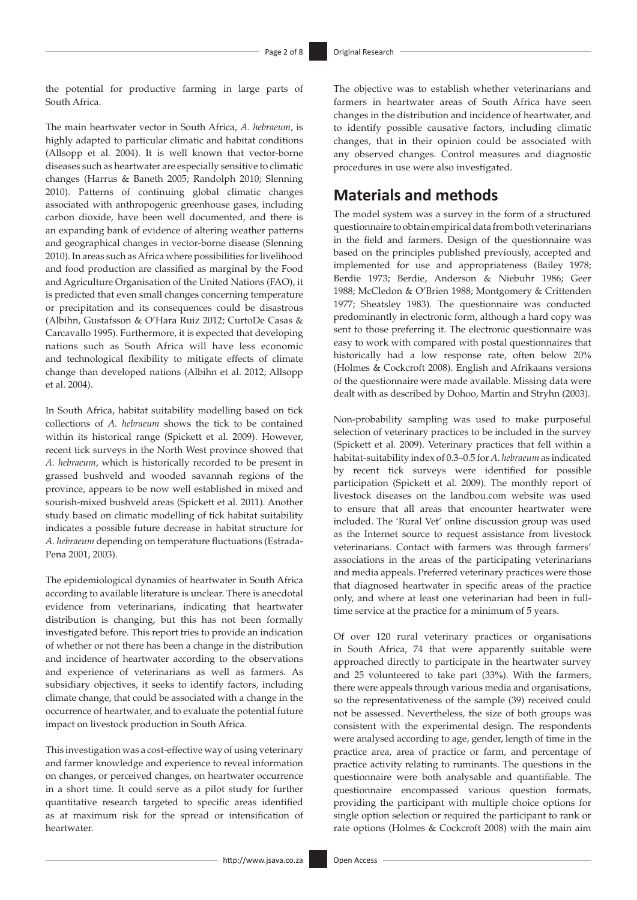the potential for productive farming in large parts of South Africa.

The main heartwater vector in South Africa, *A. hebraeum*, is highly adapted to particular climatic and habitat conditions (Allsopp et al*.* 2004). It is well known that vector-borne diseases such as heartwater are especially sensitive to climatic changes (Harrus & Baneth 2005; Randolph 2010; Slenning 2010). Patterns of continuing global climatic changes associated with anthropogenic greenhouse gases, including carbon dioxide, have been well documented, and there is an expanding bank of evidence of altering weather patterns and geographical changes in vector-borne disease (Slenning 2010). In areas such as Africa where possibilities for livelihood and food production are classified as marginal by the Food and Agriculture Organisation of the United Nations (FAO), it is predicted that even small changes concerning temperature or precipitation and its consequences could be disastrous (Albihn, Gustafsson & O'Hara Ruiz 2012; CurtoDe Casas & Carcavallo 1995). Furthermore, it is expected that developing nations such as South Africa will have less economic and technological flexibility to mitigate effects of climate change than developed nations (Albihn et al. 2012; Allsopp et al. 2004).

In South Africa, habitat suitability modelling based on tick collections of *A. hebraeum* shows the tick to be contained within its historical range (Spickett et al. 2009). However, recent tick surveys in the North West province showed that *A. hebraeum*, which is historically recorded to be present in grassed bushveld and wooded savannah regions of the province, appears to be now well established in mixed and sourish-mixed bushveld areas (Spickett et al*.* 2011). Another study based on climatic modelling of tick habitat suitability indicates a possible future decrease in habitat structure for *A. hebraeum* depending on temperature fluctuations (Estrada-Pena 2001, 2003).

The epidemiological dynamics of heartwater in South Africa according to available literature is unclear. There is anecdotal evidence from veterinarians, indicating that heartwater distribution is changing, but this has not been formally investigated before. This report tries to provide an indication of whether or not there has been a change in the distribution and incidence of heartwater according to the observations and experience of veterinarians as well as farmers. As subsidiary objectives, it seeks to identify factors, including climate change, that could be associated with a change in the occurrence of heartwater, and to evaluate the potential future impact on livestock production in South Africa.

This investigation was a cost-effective way of using veterinary and farmer knowledge and experience to reveal information on changes, or perceived changes, on heartwater occurrence in a short time. It could serve as a pilot study for further quantitative research targeted to specific areas identified as at maximum risk for the spread or intensification of heartwater.

The objective was to establish whether veterinarians and farmers in heartwater areas of South Africa have seen changes in the distribution and incidence of heartwater, and to identify possible causative factors, including climatic changes, that in their opinion could be associated with any observed changes. Control measures and diagnostic procedures in use were also investigated.

# **Materials and methods**

The model system was a survey in the form of a structured questionnaire to obtain empirical data from both veterinarians in the field and farmers. Design of the questionnaire was based on the principles published previously, accepted and implemented for use and appropriateness (Bailey 1978; Berdie 1973; Berdie, Anderson & Niebuhr 1986; Geer 1988; McCledon & O'Brien 1988; Montgomery & Crittenden 1977; Sheatsley 1983). The questionnaire was conducted predominantly in electronic form, although a hard copy was sent to those preferring it. The electronic questionnaire was easy to work with compared with postal questionnaires that historically had a low response rate, often below 20% (Holmes & Cockcroft 2008). English and Afrikaans versions of the questionnaire were made available. Missing data were dealt with as described by Dohoo, Martin and Stryhn (2003).

Non-probability sampling was used to make purposeful selection of veterinary practices to be included in the survey (Spickett et al*.* 2009). Veterinary practices that fell within a habitat-suitability index of 0.3–0.5 for *A. hebraeum* as indicated by recent tick surveys were identified for possible participation (Spickett et al. 2009). The monthly report of livestock diseases on the [landbou.com](http://landbou.com) website was used to ensure that all areas that encounter heartwater were included. The 'Rural Vet' online discussion group was used as the Internet source to request assistance from livestock veterinarians. Contact with farmers was through farmers' associations in the areas of the participating veterinarians and media appeals. Preferred veterinary practices were those that diagnosed heartwater in specific areas of the practice only, and where at least one veterinarian had been in fulltime service at the practice for a minimum of 5 years.

Of over 120 rural veterinary practices or organisations in South Africa, 74 that were apparently suitable were approached directly to participate in the heartwater survey and 25 volunteered to take part (33%). With the farmers, there were appeals through various media and organisations, so the representativeness of the sample (39) received could not be assessed. Nevertheless, the size of both groups was consistent with the experimental design. The respondents were analysed according to age, gender, length of time in the practice area, area of practice or farm, and percentage of practice activity relating to ruminants. The questions in the questionnaire were both analysable and quantifiable. The questionnaire encompassed various question formats, providing the participant with multiple choice options for single option selection or required the participant to rank or rate options (Holmes & Cockcroft 2008) with the main aim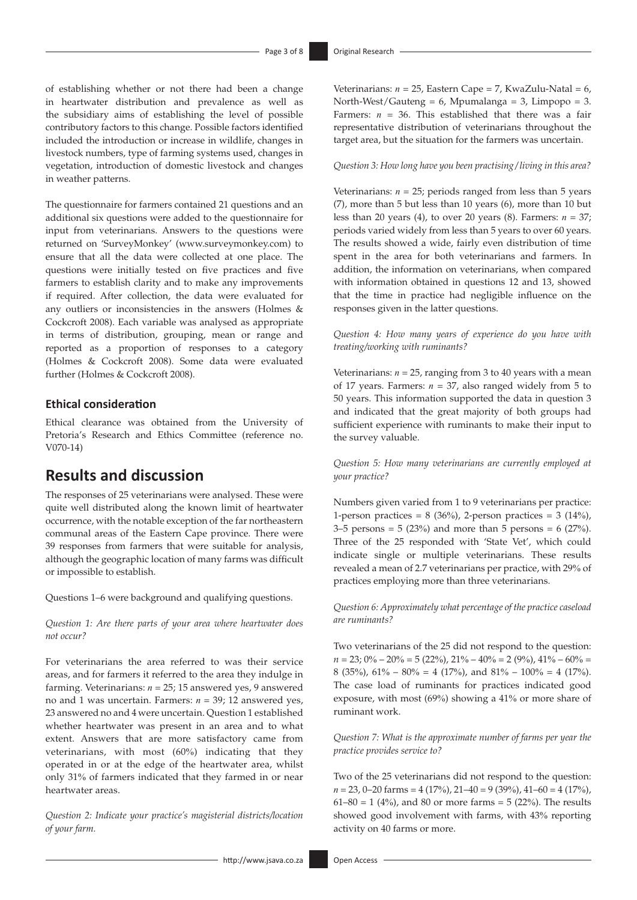of establishing whether or not there had been a change in heartwater distribution and prevalence as well as the subsidiary aims of establishing the level of possible contributory factors to this change. Possible factors identified included the introduction or increase in wildlife, changes in livestock numbers, type of farming systems used, changes in vegetation, introduction of domestic livestock and changes in weather patterns.

The questionnaire for farmers contained 21 questions and an additional six questions were added to the questionnaire for input from veterinarians. Answers to the questions were returned on 'SurveyMonkey' [\(www.surveymonkey.com\)](http://www.surveymonkey.com) to ensure that all the data were collected at one place. The questions were initially tested on five practices and five farmers to establish clarity and to make any improvements if required. After collection, the data were evaluated for any outliers or inconsistencies in the answers (Holmes & Cockcroft 2008). Each variable was analysed as appropriate in terms of distribution, grouping, mean or range and reported as a proportion of responses to a category (Holmes & Cockcroft 2008). Some data were evaluated further (Holmes & Cockcroft 2008).

### **Ethical consideration**

Ethical clearance was obtained from the University of Pretoria's Research and Ethics Committee (reference no. V070-14)

## **Results and discussion**

The responses of 25 veterinarians were analysed. These were quite well distributed along the known limit of heartwater occurrence, with the notable exception of the far northeastern communal areas of the Eastern Cape province. There were 39 responses from farmers that were suitable for analysis, although the geographic location of many farms was difficult or impossible to establish.

Questions 1–6 were background and qualifying questions.

*Question 1: Are there parts of your area where heartwater does not occur?*

For veterinarians the area referred to was their service areas, and for farmers it referred to the area they indulge in farming. Veterinarians: *n* = 25; 15 answered yes, 9 answered no and 1 was uncertain. Farmers: *n* = 39; 12 answered yes, 23 answered no and 4 were uncertain. Question 1 established whether heartwater was present in an area and to what extent. Answers that are more satisfactory came from veterinarians, with most (60%) indicating that they operated in or at the edge of the heartwater area, whilst only 31% of farmers indicated that they farmed in or near heartwater areas.

*Question 2: Indicate your practice's magisterial districts/location of your farm.*

Veterinarians: *n* = 25, Eastern Cape = 7, KwaZulu-Natal = 6, North-West/Gauteng =  $6$ , Mpumalanga =  $3$ , Limpopo =  $3$ . Farmers:  $n = 36$ . This established that there was a fair representative distribution of veterinarians throughout the target area, but the situation for the farmers was uncertain.

#### *Question 3: How long have you been practising*/*living in this area?*

Veterinarians:  $n = 25$ ; periods ranged from less than 5 years (7), more than 5 but less than 10 years (6), more than 10 but less than 20 years (4), to over 20 years (8). Farmers: *n* = 37; periods varied widely from less than 5 years to over 60 years. The results showed a wide, fairly even distribution of time spent in the area for both veterinarians and farmers. In addition, the information on veterinarians, when compared with information obtained in questions 12 and 13, showed that the time in practice had negligible influence on the responses given in the latter questions.

*Question 4: How many years of experience do you have with treating/working with ruminants?*

Veterinarians:  $n = 25$ , ranging from 3 to 40 years with a mean of 17 years. Farmers:  $n = 37$ , also ranged widely from 5 to 50 years. This information supported the data in question 3 and indicated that the great majority of both groups had sufficient experience with ruminants to make their input to the survey valuable.

*Question 5: How many veterinarians are currently employed at your practice?*

Numbers given varied from 1 to 9 veterinarians per practice: 1-person practices =  $8$  (36%), 2-person practices =  $3$  (14%), 3–5 persons = 5 (23%) and more than 5 persons = 6 (27%). Three of the 25 responded with 'State Vet', which could indicate single or multiple veterinarians. These results revealed a mean of 2.7 veterinarians per practice, with 29% of practices employing more than three veterinarians.

*Question 6: Approximately what percentage of the practice caseload are ruminants?*

Two veterinarians of the 25 did not respond to the question:  $n = 23$ ;  $0\% - 20\% = 5(22\%)$ ,  $21\% - 40\% = 2(9\%)$ ,  $41\% - 60\% =$ 8 (35%),  $61\% - 80\% = 4$  (17%), and  $81\% - 100\% = 4$  (17%). The case load of ruminants for practices indicated good exposure, with most (69%) showing a 41% or more share of ruminant work.

*Question 7: What is the approximate number of farms per year the practice provides service to?*

Two of the 25 veterinarians did not respond to the question: *n* = 23, 0–20 farms = 4 (17%), 21–40 = 9 (39%), 41–60 = 4 (17%),  $61–80 = 1$  (4%), and 80 or more farms = 5 (22%). The results showed good involvement with farms, with 43% reporting activity on 40 farms or more.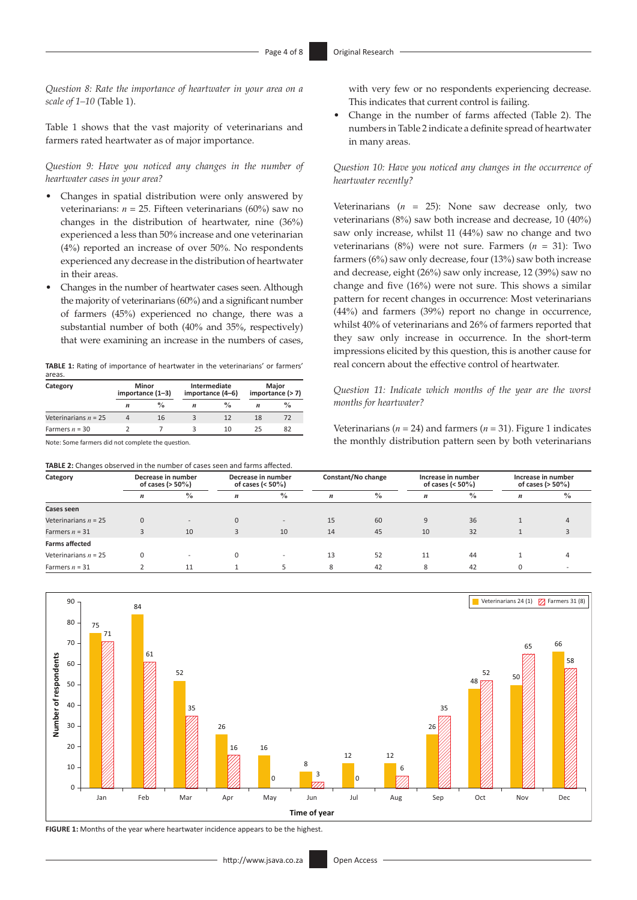*Question 8: Rate the importance of heartwater in your area on a scale of 1–10* (Table 1).

Table 1 shows that the vast majority of veterinarians and farmers rated heartwater as of major importance.

#### *Question 9: Have you noticed any changes in the number of heartwater cases in your area?*

- Changes in spatial distribution were only answered by veterinarians:  $n = 25$ . Fifteen veterinarians (60%) saw no changes in the distribution of heartwater, nine (36%) experienced a less than 50% increase and one veterinarian (4%) reported an increase of over 50%. No respondents experienced any decrease in the distribution of heartwater in their areas.
- Changes in the number of heartwater cases seen. Although the majority of veterinarians (60%) and a significant number of farmers (45%) experienced no change, there was a substantial number of both (40% and 35%, respectively) that were examining an increase in the numbers of cases,

**TABLE 1:** Rating of importance of heartwater in the veterinarians' or farmers' areas.

| Minor<br>importance $(1-3)$ |               |   | importance (4-6) | Major<br>importance $($ > 7) |               |  |
|-----------------------------|---------------|---|------------------|------------------------------|---------------|--|
| n                           | $\frac{0}{0}$ | n | $\frac{0}{0}$    | n                            | $\frac{0}{0}$ |  |
|                             | 16            |   | 12               | 18                           | 72            |  |
|                             |               |   | 10               |                              | 82            |  |
|                             |               |   |                  |                              |               |  |

Note: Some farmers did not complete the question.

with very few or no respondents experiencing decrease. This indicates that current control is failing.

• Change in the number of farms affected (Table 2). The numbers in Table 2 indicate a definite spread of heartwater in many areas.

#### *Question 10: Have you noticed any changes in the occurrence of heartwater recently?*

Veterinarians  $(n = 25)$ : None saw decrease only, two veterinarians (8%) saw both increase and decrease, 10 (40%) saw only increase, whilst 11 (44%) saw no change and two veterinarians (8%) were not sure. Farmers (*n* = 31): Two farmers (6%) saw only decrease, four (13%) saw both increase and decrease, eight (26%) saw only increase, 12 (39%) saw no change and five (16%) were not sure. This shows a similar pattern for recent changes in occurrence: Most veterinarians (44%) and farmers (39%) report no change in occurrence, whilst 40% of veterinarians and 26% of farmers reported that they saw only increase in occurrence. In the short-term impressions elicited by this question, this is another cause for real concern about the effective control of heartwater.

#### *Question 11: Indicate which months of the year are the worst months for heartwater?*

Veterinarians ( $n = 24$ ) and farmers ( $n = 31$ ). Figure 1 indicates the monthly distribution pattern seen by both veterinarians

| <b>TABLE 2:</b> Changes observed in the number of cases seen and farms affected. |               |                                            |                          |                    |               |                                            |               |                                             |               |  |  |
|----------------------------------------------------------------------------------|---------------|--------------------------------------------|--------------------------|--------------------|---------------|--------------------------------------------|---------------|---------------------------------------------|---------------|--|--|
| Decrease in number<br>of cases ( $>$ 50%)                                        |               | Decrease in number<br>of cases (< $50\%$ ) |                          | Constant/No change |               | Increase in number<br>of cases (< $50\%$ ) |               | Increase in number<br>of cases ( $> 50\%$ ) |               |  |  |
| n                                                                                | $\frac{0}{0}$ | n                                          | $\frac{0}{0}$            | n                  | $\frac{0}{0}$ | n                                          | $\frac{0}{0}$ |                                             | $\frac{0}{0}$ |  |  |
|                                                                                  |               |                                            |                          |                    |               |                                            |               |                                             |               |  |  |
| $\Omega$                                                                         |               | 0                                          | $\overline{\phantom{a}}$ | 15                 | 60            | 9                                          | 36            |                                             | 4             |  |  |
|                                                                                  | 10            | 3                                          | 10                       | 14                 | 45            | 10                                         | 32            |                                             |               |  |  |
|                                                                                  |               |                                            |                          |                    |               |                                            |               |                                             |               |  |  |
| $\Omega$                                                                         |               | 0                                          |                          | 13                 | 52            | 11                                         | 44            |                                             |               |  |  |
|                                                                                  | 11            |                                            |                          | 8                  | 42            | 8                                          | 42            |                                             |               |  |  |
|                                                                                  |               |                                            |                          |                    |               |                                            |               |                                             |               |  |  |



**FIGURE 1:** Months of the year where heartwater incidence appears to be the highest.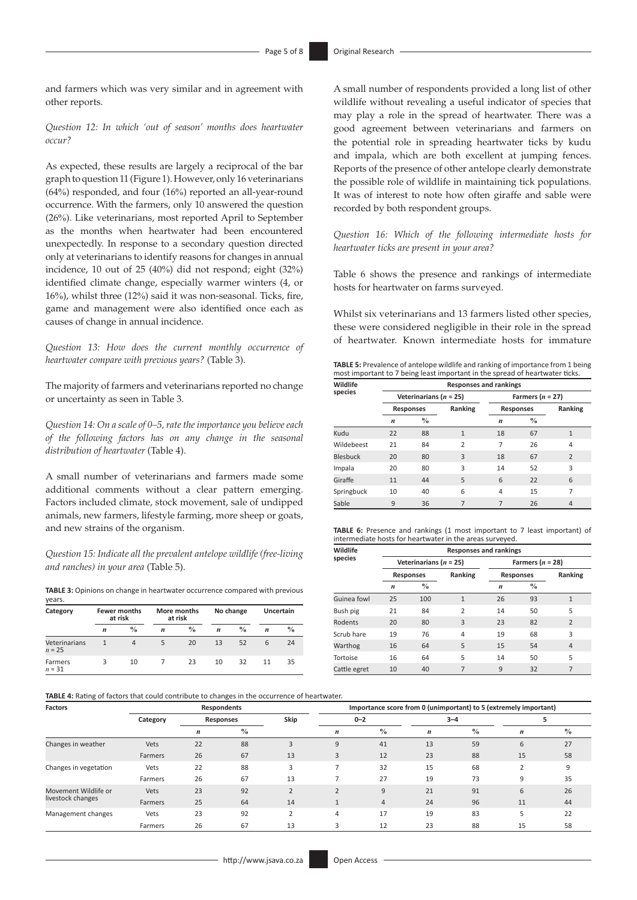and farmers which was very similar and in agreement with other reports.

*Question 12: In which 'out of season' months does heartwater occur?*

As expected, these results are largely a reciprocal of the bar graph to question 11 (Figure 1). However, only 16 veterinarians (64%) responded, and four (16%) reported an all-year-round occurrence. With the farmers, only 10 answered the question (26%). Like veterinarians, most reported April to September as the months when heartwater had been encountered unexpectedly. In response to a secondary question directed only at veterinarians to identify reasons for changes in annual incidence, 10 out of 25 (40%) did not respond; eight (32%) identified climate change, especially warmer winters (4, or 16%), whilst three (12%) said it was non-seasonal. Ticks, fire, game and management were also identified once each as causes of change in annual incidence.

*Question 13: How does the current monthly occurrence of heartwater compare with previous years?* (Table 3).

The majority of farmers and veterinarians reported no change or uncertainty as seen in Table 3.

*Question 14: On a scale of 0–5, rate the importance you believe each of the following factors has on any change in the seasonal distribution of heartwater* (Table 4).

A small number of veterinarians and farmers made some additional comments without a clear pattern emerging. Factors included climate, stock movement, sale of undipped animals, new farmers, lifestyle farming, more sheep or goats, and new strains of the organism.

*Question 15: Indicate all the prevalent antelope wildlife (free-living and ranches) in your area* (Table 5).

**TABLE 3:** Opinions on change in heartwater occurrence compared with previous years.

| Category                  | <b>Fewer months</b><br>at risk |               | More months<br>at risk |               |    | No change     | Uncertain |               |
|---------------------------|--------------------------------|---------------|------------------------|---------------|----|---------------|-----------|---------------|
|                           | n                              | $\frac{0}{0}$ | n                      | $\frac{0}{0}$ | n  | $\frac{0}{0}$ | n         | $\frac{6}{9}$ |
| Veterinarians<br>$n = 25$ |                                | $\Delta$      | 5                      | 20            | 13 | 52            | 6         | 24            |
| Farmers<br>$n = 31$       | 3                              | 10            |                        | 23            | 10 | 32            | 11        | 35            |

**TABLE 4:** Rating of factors that could contribute to changes in the occurrence of heartwater.

A small number of respondents provided a long list of other wildlife without revealing a useful indicator of species that may play a role in the spread of heartwater. There was a good agreement between veterinarians and farmers on the potential role in spreading heartwater ticks by kudu and impala, which are both excellent at jumping fences. Reports of the presence of other antelope clearly demonstrate the possible role of wildlife in maintaining tick populations. It was of interest to note how often giraffe and sable were recorded by both respondent groups.

*Question 16: Which of the following intermediate hosts for heartwater ticks are present in your area?*

Table 6 shows the presence and rankings of intermediate hosts for heartwater on farms surveyed.

Whilst six veterinarians and 13 farmers listed other species, these were considered negligible in their role in the spread of heartwater. Known intermediate hosts for immature

**TABLE 5:** Prevalence of antelope wildlife and ranking of importance from 1 being most important to 7 being least important in the spread of heartwater ticks.

| Wildlife        | <b>Responses and rankings</b> |                            |         |                    |                  |                |  |  |  |
|-----------------|-------------------------------|----------------------------|---------|--------------------|------------------|----------------|--|--|--|
| species         |                               | Veterinarians ( $n = 25$ ) |         | Farmers $(n = 27)$ |                  |                |  |  |  |
|                 | <b>Responses</b>              |                            | Ranking |                    | <b>Responses</b> | Ranking        |  |  |  |
|                 | $\boldsymbol{n}$              | $\frac{0}{0}$              |         | $\boldsymbol{n}$   | $\frac{0}{0}$    |                |  |  |  |
| Kudu            | 22                            | 88                         | 1       | 18                 | 67               | $\mathbf{1}$   |  |  |  |
| Wildebeest      | 21                            | 84                         | 2       | 7                  | 26               | 4              |  |  |  |
| <b>Blesbuck</b> | 20                            | 80                         | 3       | 18                 | 67               | $\overline{2}$ |  |  |  |
| Impala          | 20                            | 80                         | 3       | 14                 | 52               | 3              |  |  |  |
| Giraffe         | 11                            | 44                         | 5       | 6                  | 22               | 6              |  |  |  |
| Springbuck      | 10                            | 40                         | 6       | $\overline{4}$     | 15               | 7              |  |  |  |
| Sable           | 9                             | 36                         | 7       | 7                  | 26               | $\overline{4}$ |  |  |  |

| <b>TABLE 6:</b> Presence and rankings (1 most important to 7 least important) of |  |  |  |  |
|----------------------------------------------------------------------------------|--|--|--|--|
| intermediate hosts for heartwater in the areas surveyed.                         |  |  |  |  |

| Wildlife     | <b>Responses and rankings</b>     |                            |                |                    |                  |                |  |  |  |
|--------------|-----------------------------------|----------------------------|----------------|--------------------|------------------|----------------|--|--|--|
| species      |                                   | Veterinarians ( $n = 25$ ) |                | Farmers $(n = 28)$ |                  |                |  |  |  |
|              |                                   | <b>Responses</b>           | Ranking        |                    | <b>Responses</b> | Ranking        |  |  |  |
|              | $\frac{0}{0}$<br>$\boldsymbol{n}$ |                            |                | $\boldsymbol{n}$   | $\frac{0}{0}$    |                |  |  |  |
| Guinea fowl  | 25                                | 100                        | $\mathbf{1}$   | 26                 | 93               | $\mathbf{1}$   |  |  |  |
| Bush pig     | 21                                | 84                         | $\overline{2}$ | 14                 | 50               | 5              |  |  |  |
| Rodents      | 20                                | 80                         | 3              | 23                 | 82               | $\overline{2}$ |  |  |  |
| Scrub hare   | 19                                | 76                         | $\overline{4}$ | 19                 | 68               | 3              |  |  |  |
| Warthog      | 16                                | 64                         | 5              | 15                 | 54               | $\overline{4}$ |  |  |  |
| Tortoise     | 16                                | 64                         | 5              | 14                 | 50               | 5              |  |  |  |
| Cattle egret | 10                                | 40                         | 7              | 9                  | 32               | 7              |  |  |  |

| $-$<br><b>Factors</b>                     |          |    | Respondents      |                   | Importance score from 0 (unimportant) to 5 (extremely important) |               |                  |               |                  |               |  |
|-------------------------------------------|----------|----|------------------|-------------------|------------------------------------------------------------------|---------------|------------------|---------------|------------------|---------------|--|
|                                           | Category |    | <b>Responses</b> |                   | $0 - 2$                                                          |               | $3 - 4$          |               |                  |               |  |
|                                           |          | n  | $\frac{0}{0}$    |                   | $\boldsymbol{n}$                                                 | $\frac{0}{0}$ | $\boldsymbol{n}$ | $\frac{0}{0}$ | $\boldsymbol{n}$ | $\frac{0}{0}$ |  |
| Changes in weather                        | Vets     | 22 | 88               |                   | 9                                                                | 41            | 13               | 59            | 6                | 27            |  |
|                                           | Farmers  | 26 | 67               | 13                | 3                                                                | 12            | 23               | 88            | 15               | 58            |  |
| Changes in vegetation                     | Vets     | 22 | 88               | 3                 |                                                                  | 32            | 15               | 68            |                  | 9             |  |
|                                           | Farmers  | 26 | 67               | 13                |                                                                  | 27            | 19               | 73            | ٩                | 35            |  |
| Movement Wildlife or<br>livestock changes | Vets     | 23 | 92               | $\mathbf{r}$      | $\mathcal{L}$                                                    | 9             | 21               | 91            | 6                | 26            |  |
|                                           | Farmers  | 25 | 64               | 14                |                                                                  | 4             | 24               | 96            | 11               | 44            |  |
| Management changes                        | Vets     | 23 | 92               | $\mathbf{\Gamma}$ | 4                                                                | 17            | 19               | 83            |                  | 22            |  |
|                                           | Farmers  | 26 | 67               | 13                |                                                                  | 12            | 23               | 88            | 15               | 58            |  |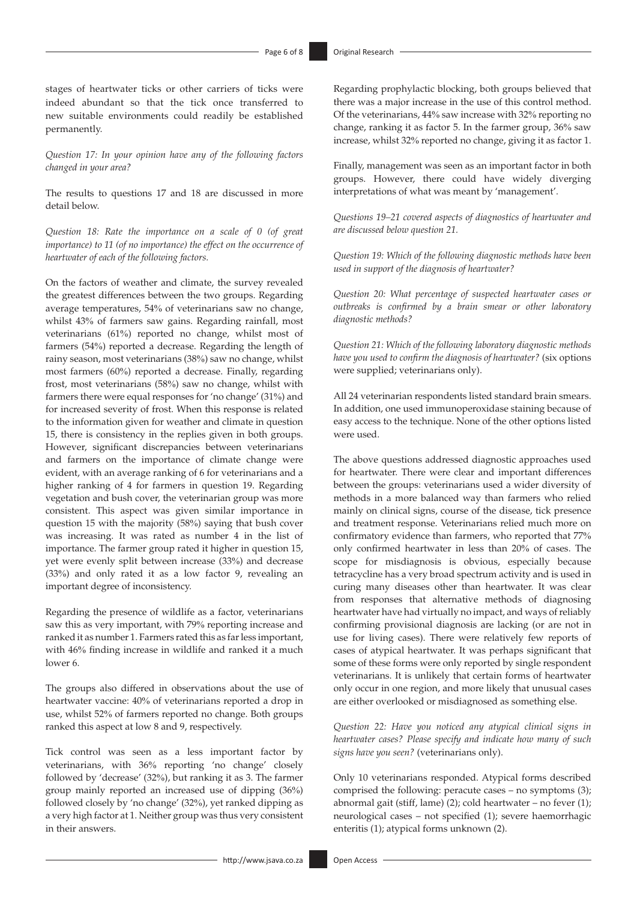stages of heartwater ticks or other carriers of ticks were indeed abundant so that the tick once transferred to new suitable environments could readily be established permanently.

*Question 17: In your opinion have any of the following factors changed in your area?*

The results to questions 17 and 18 are discussed in more detail below.

*Question 18: Rate the importance on a scale of 0 (of great importance) to 11 (of no importance) the effect on the occurrence of heartwater of each of the following factors.*

On the factors of weather and climate, the survey revealed the greatest differences between the two groups. Regarding average temperatures, 54% of veterinarians saw no change, whilst 43% of farmers saw gains. Regarding rainfall, most veterinarians (61%) reported no change, whilst most of farmers (54%) reported a decrease. Regarding the length of rainy season, most veterinarians (38%) saw no change, whilst most farmers (60%) reported a decrease. Finally, regarding frost, most veterinarians (58%) saw no change, whilst with farmers there were equal responses for 'no change' (31%) and for increased severity of frost. When this response is related to the information given for weather and climate in question 15, there is consistency in the replies given in both groups. However, significant discrepancies between veterinarians and farmers on the importance of climate change were evident, with an average ranking of 6 for veterinarians and a higher ranking of 4 for farmers in question 19. Regarding vegetation and bush cover, the veterinarian group was more consistent. This aspect was given similar importance in question 15 with the majority (58%) saying that bush cover was increasing. It was rated as number 4 in the list of importance. The farmer group rated it higher in question 15, yet were evenly split between increase (33%) and decrease (33%) and only rated it as a low factor 9, revealing an important degree of inconsistency.

Regarding the presence of wildlife as a factor, veterinarians saw this as very important, with 79% reporting increase and ranked it as number 1. Farmers rated this as far less important, with 46% finding increase in wildlife and ranked it a much lower 6.

The groups also differed in observations about the use of heartwater vaccine: 40% of veterinarians reported a drop in use, whilst 52% of farmers reported no change. Both groups ranked this aspect at low 8 and 9, respectively.

Tick control was seen as a less important factor by veterinarians, with 36% reporting 'no change' closely followed by 'decrease' (32%), but ranking it as 3. The farmer group mainly reported an increased use of dipping (36%) followed closely by 'no change' (32%), yet ranked dipping as a very high factor at 1. Neither group was thus very consistent in their answers.

Regarding prophylactic blocking, both groups believed that there was a major increase in the use of this control method. Of the veterinarians, 44% saw increase with 32% reporting no change, ranking it as factor 5. In the farmer group, 36% saw increase, whilst 32% reported no change, giving it as factor 1.

Finally, management was seen as an important factor in both groups. However, there could have widely diverging interpretations of what was meant by 'management'.

*Questions 19–21 covered aspects of diagnostics of heartwater and are discussed below question 21.*

*Question 19: Which of the following diagnostic methods have been used in support of the diagnosis of heartwater?*

*Question 20: What percentage of suspected heartwater cases or outbreaks is confirmed by a brain smear or other laboratory diagnostic methods?*

*Question 21: Which of the following laboratory diagnostic methods have you used to confirm the diagnosis of heartwater?* (six options were supplied; veterinarians only).

All 24 veterinarian respondents listed standard brain smears. In addition, one used immunoperoxidase staining because of easy access to the technique. None of the other options listed were used.

The above questions addressed diagnostic approaches used for heartwater. There were clear and important differences between the groups: veterinarians used a wider diversity of methods in a more balanced way than farmers who relied mainly on clinical signs, course of the disease, tick presence and treatment response. Veterinarians relied much more on confirmatory evidence than farmers, who reported that 77% only confirmed heartwater in less than 20% of cases. The scope for misdiagnosis is obvious, especially because tetracycline has a very broad spectrum activity and is used in curing many diseases other than heartwater. It was clear from responses that alternative methods of diagnosing heartwater have had virtually no impact, and ways of reliably confirming provisional diagnosis are lacking (or are not in use for living cases). There were relatively few reports of cases of atypical heartwater. It was perhaps significant that some of these forms were only reported by single respondent veterinarians. It is unlikely that certain forms of heartwater only occur in one region, and more likely that unusual cases are either overlooked or misdiagnosed as something else.

*Question 22: Have you noticed any atypical clinical signs in heartwater cases? Please specify and indicate how many of such signs have you seen?* (veterinarians only).

Only 10 veterinarians responded. Atypical forms described comprised the following: peracute cases – no symptoms (3); abnormal gait (stiff, lame) (2); cold heartwater – no fever (1); neurological cases – not specified (1); severe haemorrhagic enteritis (1); atypical forms unknown (2).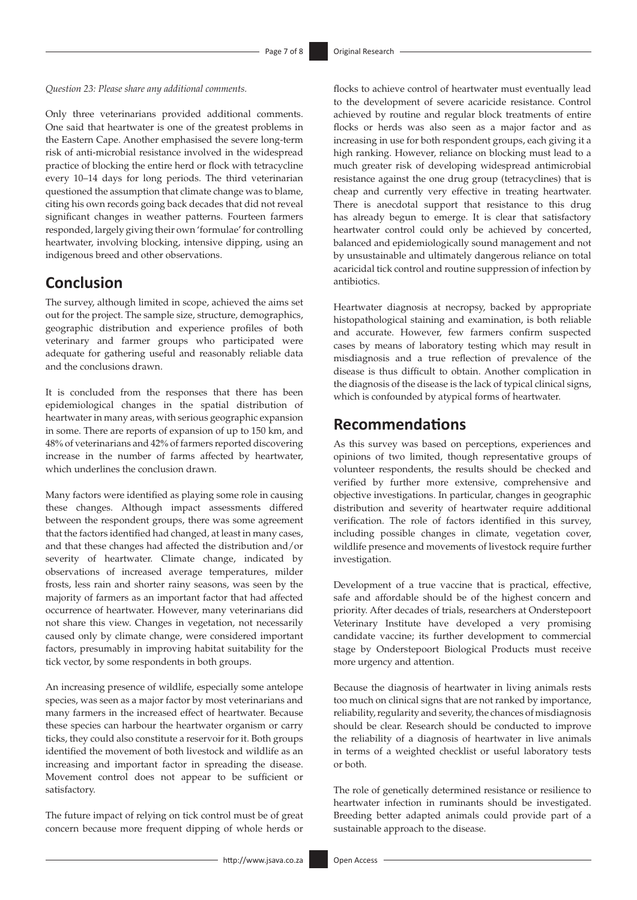#### *Question 23: Please share any additional comments.*

Only three veterinarians provided additional comments. One said that heartwater is one of the greatest problems in the Eastern Cape. Another emphasised the severe long-term risk of anti-microbial resistance involved in the widespread practice of blocking the entire herd or flock with tetracycline every 10–14 days for long periods. The third veterinarian questioned the assumption that climate change was to blame, citing his own records going back decades that did not reveal significant changes in weather patterns. Fourteen farmers responded, largely giving their own 'formulae' for controlling heartwater, involving blocking, intensive dipping, using an indigenous breed and other observations.

### **Conclusion**

The survey, although limited in scope, achieved the aims set out for the project. The sample size, structure, demographics, geographic distribution and experience profiles of both veterinary and farmer groups who participated were adequate for gathering useful and reasonably reliable data and the conclusions drawn.

It is concluded from the responses that there has been epidemiological changes in the spatial distribution of heartwater in many areas, with serious geographic expansion in some. There are reports of expansion of up to 150 km, and 48% of veterinarians and 42% of farmers reported discovering increase in the number of farms affected by heartwater, which underlines the conclusion drawn.

Many factors were identified as playing some role in causing these changes. Although impact assessments differed between the respondent groups, there was some agreement that the factors identified had changed, at least in many cases, and that these changes had affected the distribution and/or severity of heartwater. Climate change, indicated by observations of increased average temperatures, milder frosts, less rain and shorter rainy seasons, was seen by the majority of farmers as an important factor that had affected occurrence of heartwater. However, many veterinarians did not share this view. Changes in vegetation, not necessarily caused only by climate change, were considered important factors, presumably in improving habitat suitability for the tick vector, by some respondents in both groups.

An increasing presence of wildlife, especially some antelope species, was seen as a major factor by most veterinarians and many farmers in the increased effect of heartwater. Because these species can harbour the heartwater organism or carry ticks, they could also constitute a reservoir for it. Both groups identified the movement of both livestock and wildlife as an increasing and important factor in spreading the disease. Movement control does not appear to be sufficient or satisfactory.

The future impact of relying on tick control must be of great concern because more frequent dipping of whole herds or

flocks to achieve control of heartwater must eventually lead to the development of severe acaricide resistance. Control achieved by routine and regular block treatments of entire flocks or herds was also seen as a major factor and as increasing in use for both respondent groups, each giving it a high ranking. However, reliance on blocking must lead to a much greater risk of developing widespread antimicrobial resistance against the one drug group (tetracyclines) that is cheap and currently very effective in treating heartwater. There is anecdotal support that resistance to this drug has already begun to emerge. It is clear that satisfactory heartwater control could only be achieved by concerted, balanced and epidemiologically sound management and not by unsustainable and ultimately dangerous reliance on total acaricidal tick control and routine suppression of infection by antibiotics.

Heartwater diagnosis at necropsy, backed by appropriate histopathological staining and examination, is both reliable and accurate. However, few farmers confirm suspected cases by means of laboratory testing which may result in misdiagnosis and a true reflection of prevalence of the disease is thus difficult to obtain. Another complication in the diagnosis of the disease is the lack of typical clinical signs, which is confounded by atypical forms of heartwater.

### **Recommendations**

As this survey was based on perceptions, experiences and opinions of two limited, though representative groups of volunteer respondents, the results should be checked and verified by further more extensive, comprehensive and objective investigations. In particular, changes in geographic distribution and severity of heartwater require additional verification. The role of factors identified in this survey, including possible changes in climate, vegetation cover, wildlife presence and movements of livestock require further investigation.

Development of a true vaccine that is practical, effective, safe and affordable should be of the highest concern and priority. After decades of trials, researchers at Onderstepoort Veterinary Institute have developed a very promising candidate vaccine; its further development to commercial stage by Onderstepoort Biological Products must receive more urgency and attention.

Because the diagnosis of heartwater in living animals rests too much on clinical signs that are not ranked by importance, reliability, regularity and severity, the chances of misdiagnosis should be clear. Research should be conducted to improve the reliability of a diagnosis of heartwater in live animals in terms of a weighted checklist or useful laboratory tests or both.

The role of genetically determined resistance or resilience to heartwater infection in ruminants should be investigated. Breeding better adapted animals could provide part of a sustainable approach to the disease.